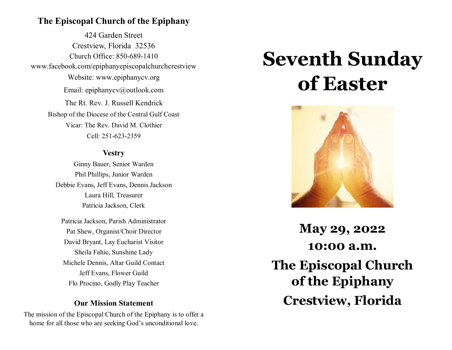# **The Episcopal Church of the Epiphany**

424 Garden Street Crestview, Florida 32536 Church Office: 850-689-1410 www.facebook.com/epiphanyepiscopalchurchcrestview Website: www.epiphanycv.org Email: epiphanycv@outlook.com The Rt. Rev. J. Russell Kendrick Bishop of the Diocese of the Central Gulf Coast Vicar: The Rev. David M. Clothier Cell: 251-623-2359

### **Vestry**

Ginny Bauer, Senior Warden Phil Phillips, Junior Warden Debbie Evans, Jeff Evans, Dennis Jackson Laura Hill, Treasurer Patricia Jackson, Clerk

Patricia Jackson, Parish Administrator Pat Shew, Organist/Choir Director David Bryant, Lay Eucharist Visitor Sheila Fahie, Sunshine Lady Michele Dennis, Altar Guild Contact Jeff Evans, Flower Guild Flo Procino, Godly Play Teacher

# **Our Mission Statement**

The mission of the Episcopal Church of the Epiphany is to offer a home for all those who are seeking God's unconditional love.

# **Seventh Sunday of Easter**



**May 29, 2022 10:00 a.m. The Episcopal Church of the Epiphany Crestview, Florida**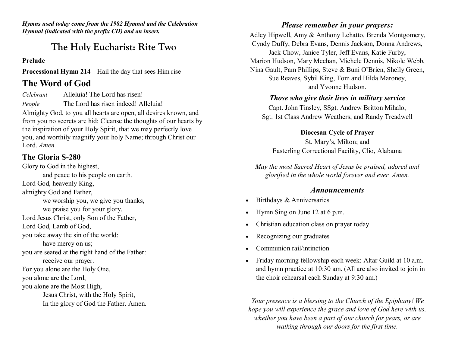*Hymns used today come from the 1982 Hymnal and the Celebration Hymnal (indicated with the prefix CH) and an insert.*

# **The Holy Eucharist: Rite Two**

#### **Prelude**

**Processional Hymn 214** Hail the day that sees Him rise

# **The Word of God**

*Celebrant* Alleluia! The Lord has risen! *People* The Lord has risen indeed! Alleluia!

Almighty God, to you all hearts are open, all desires known, and from you no secrets are hid: Cleanse the thoughts of our hearts by the inspiration of your Holy Spirit, that we may perfectly love you, and worthily magnify your holy Name; through Christ our Lord. *Amen.*

#### **The Gloria S-280**

Glory to God in the highest, and peace to his people on earth. Lord God, heavenly King, almighty God and Father, we worship you, we give you thanks, we praise you for your glory. Lord Jesus Christ, only Son of the Father, Lord God, Lamb of God, you take away the sin of the world: have mercy on us; you are seated at the right hand of the Father: receive our prayer. For you alone are the Holy One, you alone are the Lord, you alone are the Most High, Jesus Christ, with the Holy Spirit, In the glory of God the Father. Amen.

#### *Please remember in your prayers:*

Adley Hipwell, Amy & Anthony Lehatto, Brenda Montgomery, Cyndy Duffy, Debra Evans, Dennis Jackson, Donna Andrews, Jack Chow, Janice Tyler, Jeff Evans, Katie Furby, Marion Hudson, Mary Meehan, Michele Dennis, Nikole Webb, Nina Gault, Pam Phillips, Steve & Buni O'Brien, Shelly Green, Sue Reaves, Sybil King, Tom and Hilda Maroney, and Yvonne Hudson.

#### *Those who give their lives in military service*

Capt. John Tinsley, SSgt. Andrew Britton Mihalo, Sgt. 1st Class Andrew Weathers, and Randy Treadwell

#### **Diocesan Cycle of Prayer**

St. Mary's, Milton; and Easterling Correctional Facility, Clio, Alabama

*May the most Sacred Heart of Jesus be praised, adored and glorified in the whole world forever and ever. Amen.*

#### *Announcements*

- Birthdays & Anniversaries
- Hymn Sing on June 12 at 6 p.m.
- Christian education class on prayer today
- Recognizing our graduates
- Communion rail/intinction
- Friday morning fellowship each week: Altar Guild at 10 a.m. and hymn practice at 10:30 am. (All are also invited to join in the choir rehearsal each Sunday at 9:30 am.)

*Your presence is a blessing to the Church of the Epiphany! We hope you will experience the grace and love of God here with us, whether you have been a part of our church for years, or are walking through our doors for the first time.*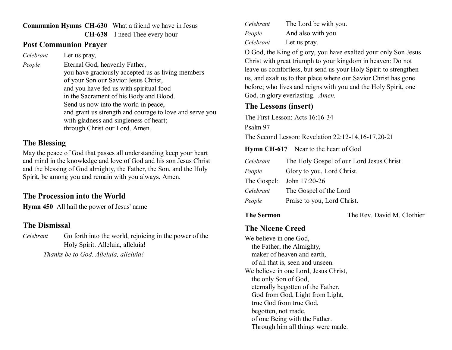#### **Communion Hymns CH-630** What a friend we have in Jesus **CH-638** I need Thee every hour

### **Post Communion Prayer**

*Celebrant* Let us pray,

*People* **Eternal God, heavenly Father,** you have graciously accepted us as living members of your Son our Savior Jesus Christ, and you have fed us with spiritual food in the Sacrament of his Body and Blood. Send us now into the world in peace, and grant us strength and courage to love and serve you with gladness and singleness of heart; through Christ our Lord. Amen.

# **The Blessing**

May the peace of God that passes all understanding keep your heart and mind in the knowledge and love of God and his son Jesus Christ and the blessing of God almighty, the Father, the Son, and the Holy Spirit, be among you and remain with you always. Amen.

# **The Procession into the World**

**Hymn 450** All hail the power of Jesus' name

# **The Dismissal**

*Celebrant* Go forth into the world, rejoicing in the power of the Holy Spirit. Alleluia, alleluia!

*Thanks be to God. Alleluia, alleluia!*

| Celebrant | The Lord be with you. |
|-----------|-----------------------|
| People    | And also with you.    |
| Celebrant | Let us pray.          |

O God, the King of glory, you have exalted your only Son Jesus Christ with great triumph to your kingdom in heaven: Do not leave us comfortless, but send us your Holy Spirit to strengthen us, and exalt us to that place where our Savior Christ has gone before; who lives and reigns with you and the Holy Spirit, one God, in glory everlasting. *Amen.*

# **The Lessons (insert)**

The First Lesson: Acts 16:16-34

Psalm 97

The Second Lesson: Revelation 22:12-14,16-17,20-21

**Hymn CH-617** Near to the heart of God

- *Celebrant* The Holy Gospel of our Lord Jesus Christ
- *People* **C**Glory to you, Lord Christ.
- The Gospel: John 17:20-26
- *Celebrant* The Gospel of the Lord
- *People* Praise to you, Lord Christ.

**The Sermon** The Rev. David M. Clothier

# **The Nicene Creed**

We believe in one God, the Father, the Almighty, maker of heaven and earth, of all that is, seen and unseen. We believe in one Lord, Jesus Christ, the only Son of God, eternally begotten of the Father, God from God, Light from Light, true God from true God, begotten, not made, of one Being with the Father. Through him all things were made.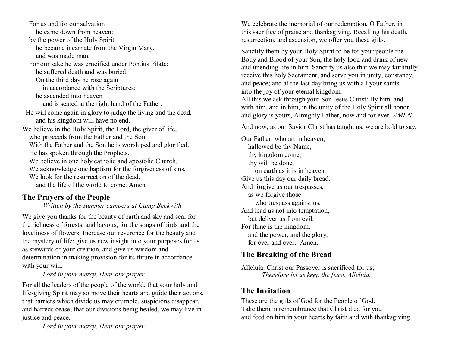For us and for our salvation he came down from heaven: by the power of the Holy Spirit he became incarnate from the Virgin Mary, and was made man. For our sake he was crucified under Pontius Pilate; he suffered death and was buried. On the third day he rose again in accordance with the Scriptures; he ascended into heaven and is seated at the right hand of the Father. He will come again in glory to judge the living and the dead, and his kingdom will have no end. We believe in the Holy Spirit, the Lord, the giver of life, who proceeds from the Father and the Son. With the Father and the Son he is worshiped and glorified. He has spoken through the Prophets. We believe in one holy catholic and apostolic Church. We acknowledge one baptism for the forgiveness of sins. We look for the resurrection of the dead, and the life of the world to come. Amen.

# **The Prayers of the People**

*Written by the summer campers at Camp Beckwith*

We give you thanks for the beauty of earth and sky and sea; for the richness of forests, and bayous, for the songs of birds and the loveliness of flowers. Increase our reverence for the beauty and the mystery of life; give us new insight into your purposes for us as stewards of your creation, and give us wisdom and determination in making provision for its future in accordance with your will.

*Lord in your mercy, Hear our prayer* 

For all the leaders of the people of the world, that your holy and life-giving Spirit may so move their hearts and guide their actions, that barriers which divide us may crumble, suspicions disappear, and hatreds cease; that our divisions being healed, we may live in justice and peace.

*Lord in your mercy, Hear our prayer* 

We celebrate the memorial of our redemption, O Father, in this sacrifice of praise and thanksgiving. Recalling his death, resurrection, and ascension, we offer you these gifts.

Sanctify them by your Holy Spirit to be for your people the Body and Blood of your Son, the holy food and drink of new and unending life in him. Sanctify us also that we may faithfully receive this holy Sacrament, and serve you in unity, constancy, and peace; and at the last day bring us with all your saints into the joy of your eternal kingdom.

All this we ask through your Son Jesus Christ: By him, and with him, and in him, in the unity of the Holy Spirit all honor and glory is yours, Almighty Father, now and for ever. *AMEN.*

And now, as our Savior Christ has taught us, we are bold to say,

Our Father, who art in heaven, hallowed be thy Name, thy kingdom come, thy will be done, on earth as it is in heaven. Give us this day our daily bread. And forgive us our trespasses, as we forgive those who trespass against us. And lead us not into temptation, but deliver us from evil. For thine is the kingdom, and the power, and the glory, for ever and ever. Amen.

# **The Breaking of the Bread**

Alleluia. Christ our Passover is sacrificed for us; *Therefore let us keep the feast. Alleluia.*

# **The Invitation**

These are the gifts of God for the People of God. Take them in remembrance that Christ died for you and feed on him in your hearts by faith and with thanksgiving.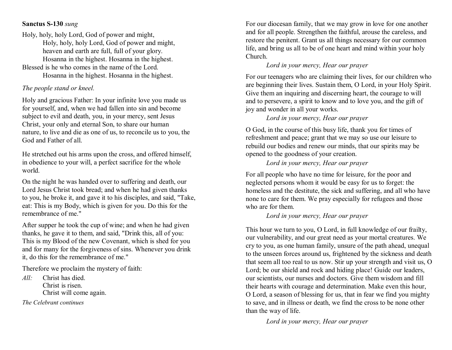#### **Sanctus S-130** *sung*

Holy, holy, holy Lord, God of power and might, Holy, holy, holy Lord, God of power and might, heaven and earth are full, full of your glory. Hosanna in the highest. Hosanna in the highest. Blessed is he who comes in the name of the Lord.

Hosanna in the highest. Hosanna in the highest.

### *The people stand or kneel.*

Holy and gracious Father: In your infinite love you made us for yourself, and, when we had fallen into sin and become subject to evil and death, you, in your mercy, sent Jesus Christ, your only and eternal Son, to share our human nature, to live and die as one of us, to reconcile us to you, the God and Father of all.

He stretched out his arms upon the cross, and offered himself, in obedience to your will, a perfect sacrifice for the whole world.

On the night he was handed over to suffering and death, our Lord Jesus Christ took bread; and when he had given thanks to you, he broke it, and gave it to his disciples, and said, "Take, eat: This is my Body, which is given for you. Do this for the remembrance of me."

After supper he took the cup of wine; and when he had given thanks, he gave it to them, and said, "Drink this, all of you: This is my Blood of the new Covenant, which is shed for you and for many for the forgiveness of sins. Whenever you drink it, do this for the remembrance of me."

Therefore we proclaim the mystery of faith:

*All:* Christ has died. Christ is risen. Christ will come again.

*The Celebrant continues*

For our diocesan family, that we may grow in love for one another and for all people. Strengthen the faithful, arouse the careless, and restore the penitent. Grant us all things necessary for our common life, and bring us all to be of one heart and mind within your holy Church.

# *Lord in your mercy, Hear our prayer*

For our teenagers who are claiming their lives, for our children who are beginning their lives. Sustain them, O Lord, in your Holy Spirit. Give them an inquiring and discerning heart, the courage to will and to persevere, a spirit to know and to love you, and the gift of joy and wonder in all your works.

#### *Lord in your mercy, Hear our prayer*

O God, in the course of this busy life, thank you for times of refreshment and peace; grant that we may so use our leisure to rebuild our bodies and renew our minds, that our spirits may be opened to the goodness of your creation.

#### *Lord in your mercy, Hear our prayer*

For all people who have no time for leisure, for the poor and neglected persons whom it would be easy for us to forget: the homeless and the destitute, the sick and suffering, and all who have none to care for them. We pray especially for refugees and those who are for them.

#### *Lord in your mercy, Hear our prayer*

This hour we turn to you, O Lord, in full knowledge of our frailty, our vulnerability, and our great need as your mortal creatures. We cry to you, as one human family, unsure of the path ahead, unequal to the unseen forces around us, frightened by the sickness and death that seem all too real to us now. Stir up your strength and visit us, O Lord; be our shield and rock and hiding place! Guide our leaders, our scientists, our nurses and doctors. Give them wisdom and fill their hearts with courage and determination. Make even this hour, O Lord, a season of blessing for us, that in fear we find you mighty to save, and in illness or death, we find the cross to be none other than the way of life.

*Lord in your mercy, Hear our prayer*